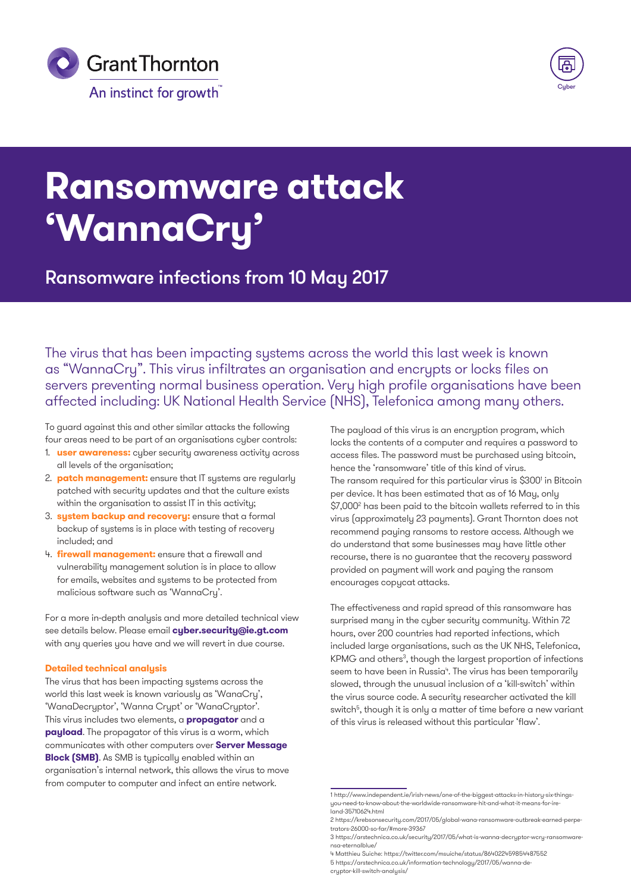



# **Ransomware attack 'WannaCry'**

## Ransomware infections from 10 May 2017

The virus that has been impacting systems across the world this last week is known as "WannaCry". This virus infiltrates an organisation and encrypts or locks files on servers preventing normal business operation. Very high profile organisations have been affected including: UK National Health Service (NHS), Telefonica among many others.

To guard against this and other similar attacks the following four areas need to be part of an organisations cyber controls:

- 1. **user awareness:** cyber security awareness activity across all levels of the organisation;
- 2. **patch management:** ensure that IT systems are regularly patched with security updates and that the culture exists within the organisation to assist IT in this activity;
- 3. **system backup and recovery:** ensure that a formal backup of systems is in place with testing of recovery included; and
- 4. **firewall management:** ensure that a firewall and vulnerability management solution is in place to allow for emails, websites and systems to be protected from malicious software such as 'WannaCry'.

For a more in-depth analysis and more detailed technical view see details below. Please email **[cyber.security@ie.gt.com](mailto:cyber.security@ie.gt.com)** with any queries you have and we will revert in due course.

#### **Detailed technical analysis**

The virus that has been impacting systems across the world this last week is known variously as 'WanaCry', 'WanaDecryptor', 'Wanna Crypt' or 'WanaCryptor'. This virus includes two elements, a **propagator** and a **payload**. The propagator of this virus is a worm, which communicates with other computers over **Server Message Block (SMB)**. As SMB is typically enabled within an organisation's internal network, this allows the virus to move from computer to computer and infect an entire network.

The payload of this virus is an encryption program, which locks the contents of a computer and requires a password to access files. The password must be purchased using bitcoin, hence the 'ransomware' title of this kind of virus. The ransom required for this particular virus is \$300<sup>1</sup> in Bitcoin per device. It has been estimated that as of 16 May, only \$7,0002 has been paid to the bitcoin wallets referred to in this virus (approximately 23 payments). Grant Thornton does not recommend paying ransoms to restore access. Although we do understand that some businesses may have little other recourse, there is no guarantee that the recovery password provided on payment will work and paying the ransom encourages copycat attacks.

The effectiveness and rapid spread of this ransomware has surprised many in the cyber security community. Within 72 hours, over 200 countries had reported infections, which included large organisations, such as the UK NHS, Telefonica, KPMG and others<sup>3</sup>, though the largest proportion of infections seem to have been in Russia<sup>4</sup>. The virus has been temporarily slowed, through the unusual inclusion of a 'kill-switch' within the virus source code. A security researcher activated the kill switch<sup>5</sup>, though it is only a matter of time before a new variant of this virus is released without this particular 'flaw'.

<sup>1</sup> http://www.independent.ie/irish-news/one-of-the-biggest-attacks-in-history-six-thingsyou-need-to-know-about-the-worldwide-ransomware-hit-and-what-it-means-for-ireland-35710624.html

<sup>2</sup> https://krebsonsecurity.com/2017/05/global-wana-ransomware-outbreak-earned-perpetrators-26000-so-far/#more-39367

<sup>3</sup> https://arstechnica.co.uk/security/2017/05/what-is-wanna-decryptor-wcry-ransomwarensa-eternalblue/

<sup>4</sup> Matthieu Suiche: https://twitter.com/msuiche/status/864022459854487552 5 https://arstechnica.co.uk/information-technology/2017/05/wanna-de-

cryptor-kill-switch-analysis/